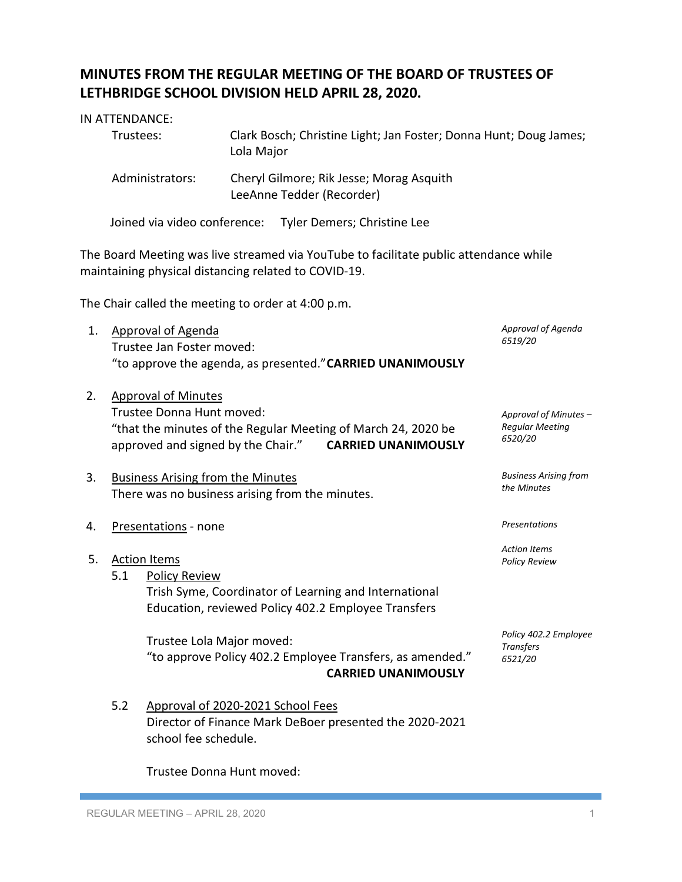## **MINUTES FROM THE REGULAR MEETING OF THE BOARD OF TRUSTEES OF LETHBRIDGE SCHOOL DIVISION HELD APRIL 28, 2020.**

| IN ATTENDANCE:  |                                                                                 |
|-----------------|---------------------------------------------------------------------------------|
| Trustees:       | Clark Bosch; Christine Light; Jan Foster; Donna Hunt; Doug James;<br>Lola Major |
| Administrators: | Cheryl Gilmore; Rik Jesse; Morag Asquith<br>LeeAnne Tedder (Recorder)           |

Joined via video conference: Tyler Demers; Christine Lee

The Board Meeting was live streamed via YouTube to facilitate public attendance while maintaining physical distancing related to COVID-19.

The Chair called the meeting to order at 4:00 p.m.

| 1. | <b>Approval of Agenda</b>                                     | Approval of Agenda<br>6519/20 |
|----|---------------------------------------------------------------|-------------------------------|
|    | Trustee Jan Foster moved:                                     |                               |
|    | "to approve the agenda, as presented." CARRIED UNANIMOUSLY    |                               |
|    |                                                               |                               |
| 2. | <b>Approval of Minutes</b>                                    |                               |
|    | Trustee Donna Hunt moved:                                     | Approval of Minutes -         |
|    | "that the minutes of the Regular Meeting of March 24, 2020 be | <b>Regular Meeting</b>        |
|    | approved and signed by the Chair." CARRIED UNANIMOUSLY        | 6520/20                       |
|    |                                                               | <b>Business Arising from</b>  |
| 3. | <b>Business Arising from the Minutes</b>                      | the Minutes                   |
|    | There was no business arising from the minutes.               |                               |
| 4. | Presentations - none                                          | <b>Presentations</b>          |
|    |                                                               |                               |
| 5. | <b>Action Items</b>                                           | <b>Action Items</b>           |
|    | 5.1<br><b>Policy Review</b>                                   | <b>Policy Review</b>          |
|    |                                                               |                               |
|    | Trish Syme, Coordinator of Learning and International         |                               |
|    | Education, reviewed Policy 402.2 Employee Transfers           |                               |
|    | Trustee Lola Major moved:                                     | Policy 402.2 Employee         |
|    | "to approve Policy 402.2 Employee Transfers, as amended."     | <b>Transfers</b>              |
|    |                                                               | 6521/20                       |
|    | <b>CARRIED UNANIMOUSLY</b>                                    |                               |
|    | 5.2<br>Approval of 2020-2021 School Fees                      |                               |
|    |                                                               |                               |

Director of Finance Mark DeBoer presented the 2020-2021 school fee schedule.

Trustee Donna Hunt moved: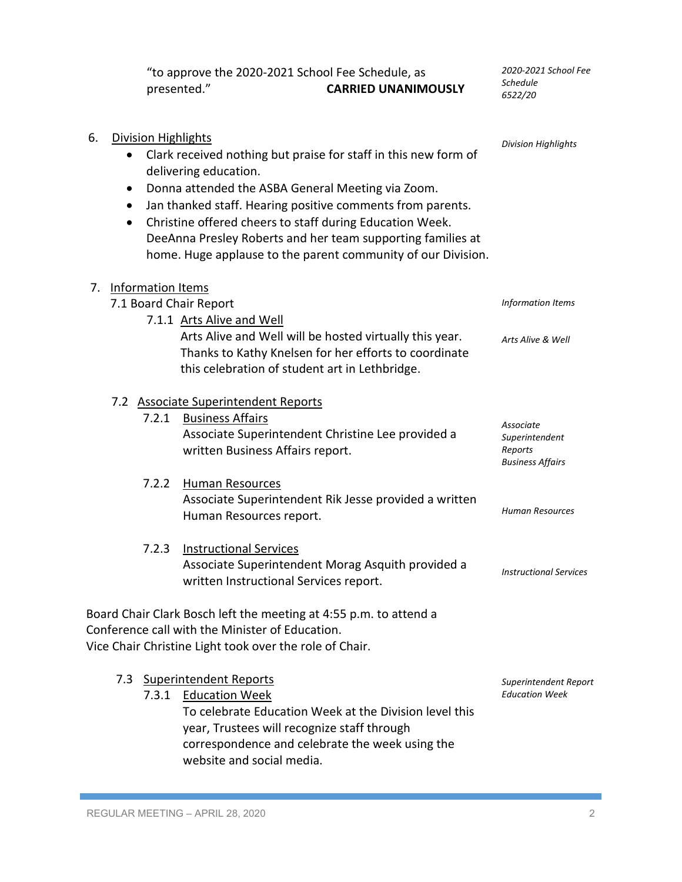"to approve the 2020-2021 School Fee Schedule, as<br> **CARRIED UNANIMON** presented." **CARRIED UNANIMOUSLY** *2020-2021 School Fee Schedule 6522/20*

| 6.<br>$\bullet$      | <b>Division Highlights</b> | Clark received nothing but praise for staff in this new form of<br>delivering education.<br>Donna attended the ASBA General Meeting via Zoom.<br>Jan thanked staff. Hearing positive comments from parents.<br>Christine offered cheers to staff during Education Week.<br>DeeAnna Presley Roberts and her team supporting families at | <b>Division Highlights</b>                                        |
|----------------------|----------------------------|----------------------------------------------------------------------------------------------------------------------------------------------------------------------------------------------------------------------------------------------------------------------------------------------------------------------------------------|-------------------------------------------------------------------|
|                      |                            | home. Huge applause to the parent community of our Division.                                                                                                                                                                                                                                                                           |                                                                   |
| 7. Information Items |                            | 7.1 Board Chair Report<br>7.1.1 Arts Alive and Well                                                                                                                                                                                                                                                                                    | Information Items                                                 |
|                      |                            | Arts Alive and Well will be hosted virtually this year.<br>Thanks to Kathy Knelsen for her efforts to coordinate<br>this celebration of student art in Lethbridge.                                                                                                                                                                     | Arts Alive & Well                                                 |
|                      | 7.2.1                      | 7.2 Associate Superintendent Reports<br><b>Business Affairs</b><br>Associate Superintendent Christine Lee provided a<br>written Business Affairs report.                                                                                                                                                                               | Associate<br>Superintendent<br>Reports<br><b>Business Affairs</b> |
|                      | 7.2.2                      | <b>Human Resources</b><br>Associate Superintendent Rik Jesse provided a written<br>Human Resources report.                                                                                                                                                                                                                             | <b>Human Resources</b>                                            |
|                      | 7.2.3                      | <b>Instructional Services</b><br>Associate Superintendent Morag Asquith provided a<br>written Instructional Services report.                                                                                                                                                                                                           | <b>Instructional Services</b>                                     |
|                      |                            | Board Chair Clark Bosch left the meeting at 4:55 p.m. to attend a<br>Conference call with the Minister of Education<br>Vice Chair Christine Light took over the role of Chair.                                                                                                                                                         |                                                                   |
| 7.3                  | 7.3.1                      | <b>Superintendent Reports</b><br><b>Education Week</b><br>To celebrate Education Week at the Division level this<br>year, Trustees will recognize staff through<br>correspondence and celebrate the week using the                                                                                                                     | Superintendent Report<br><b>Education Week</b>                    |

website and social media.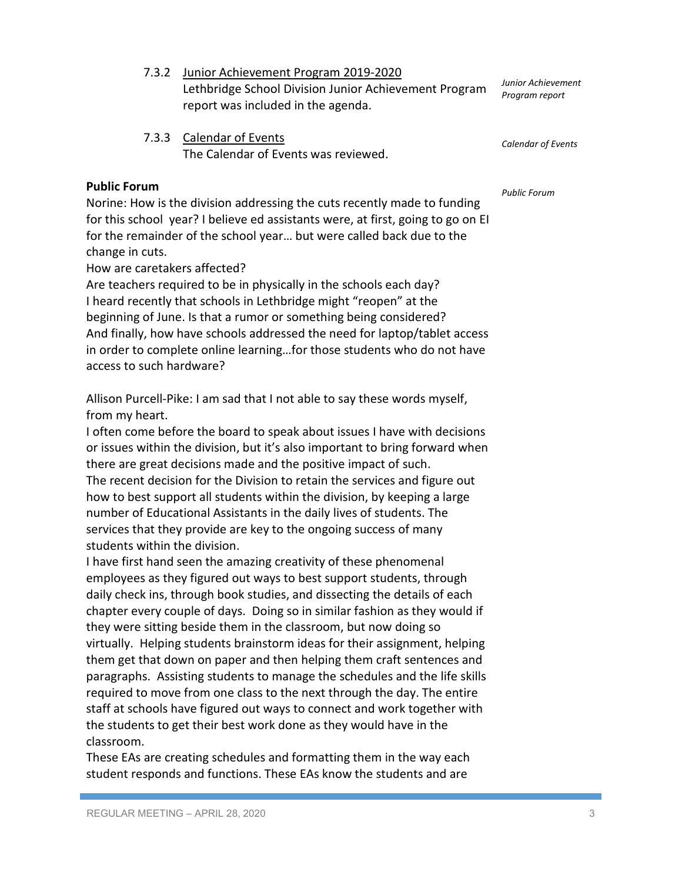- 7.3.2 Junior Achievement Program 2019-2020 Lethbridge School Division Junior Achievement Program report was included in the agenda.
- 7.3.3 Calendar of Events The Calendar of Events was reviewed.

## **Public Forum**

Norine: How is the division addressing the cuts recently made to funding for this school year? I believe ed assistants were, at first, going to go on EI for the remainder of the school year… but were called back due to the change in cuts.

How are caretakers affected?

Are teachers required to be in physically in the schools each day? I heard recently that schools in Lethbridge might "reopen" at the beginning of June. Is that a rumor or something being considered? And finally, how have schools addressed the need for laptop/tablet access in order to complete online learning…for those students who do not have access to such hardware?

Allison Purcell-Pike: I am sad that I not able to say these words myself, from my heart.

I often come before the board to speak about issues I have with decisions or issues within the division, but it's also important to bring forward when there are great decisions made and the positive impact of such. The recent decision for the Division to retain the services and figure out how to best support all students within the division, by keeping a large number of Educational Assistants in the daily lives of students. The services that they provide are key to the ongoing success of many students within the division.

I have first hand seen the amazing creativity of these phenomenal employees as they figured out ways to best support students, through daily check ins, through book studies, and dissecting the details of each chapter every couple of days. Doing so in similar fashion as they would if they were sitting beside them in the classroom, but now doing so virtually. Helping students brainstorm ideas for their assignment, helping them get that down on paper and then helping them craft sentences and paragraphs. Assisting students to manage the schedules and the life skills required to move from one class to the next through the day. The entire staff at schools have figured out ways to connect and work together with the students to get their best work done as they would have in the classroom.

These EAs are creating schedules and formatting them in the way each student responds and functions. These EAs know the students and are

*Calendar of Events*

*Public Forum*